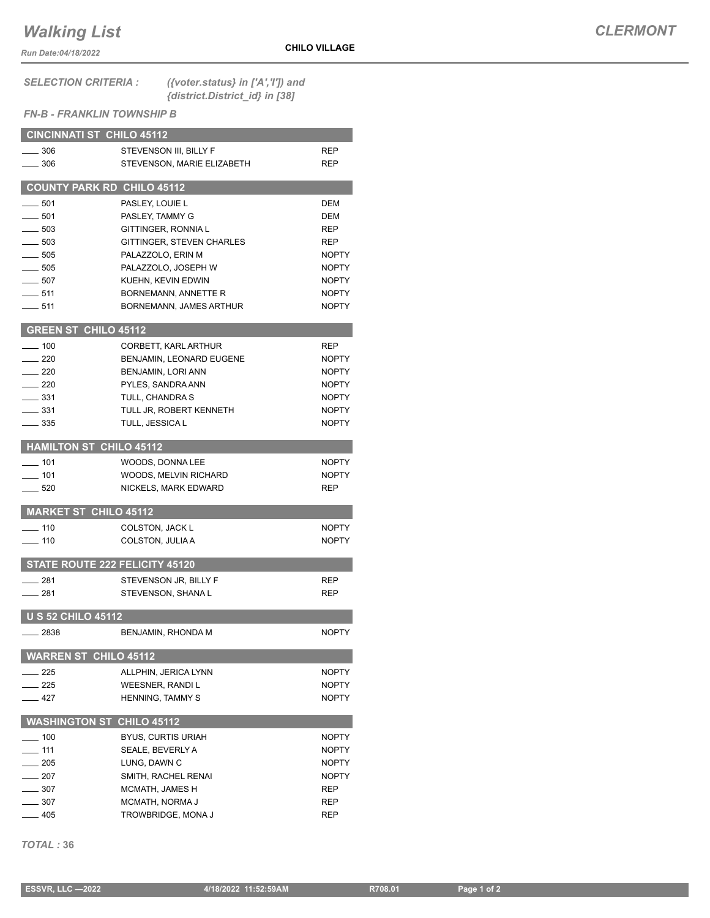## *Walking List*

*Run Date:04/18/2022*

## *CLERMONT*

*SELECTION CRITERIA : ({voter.status} in ['A','I']) and {district.District\_id} in [38]*

## *FN-B - FRANKLIN TOWNSHIP B*

| <b>CINCINNATI ST CHILO 45112</b>  |                            |              |
|-----------------------------------|----------------------------|--------------|
| $\equiv$ 306                      | STEVENSON III, BILLY F     | REP          |
| $-306$                            | STEVENSON, MARIE ELIZABETH | REP          |
|                                   |                            |              |
| <b>COUNTY PARK RD CHILO 45112</b> |                            |              |
| $-501$                            | PASLEY, LOUIE L            | <b>DEM</b>   |
| $-501$                            | PASLEY, TAMMY G            | DEM          |
| $-503$                            | GITTINGER, RONNIA L        | <b>REP</b>   |
| $-503$                            | GITTINGER, STEVEN CHARLES  | <b>REP</b>   |
| $-505$                            | PALAZZOLO, ERIN M          | <b>NOPTY</b> |
| $-505$                            | PALAZZOLO, JOSEPH W        | <b>NOPTY</b> |
| $-507$                            | KUEHN, KEVIN EDWIN         | <b>NOPTY</b> |
| $-511$                            | BORNEMANN, ANNETTE R       | <b>NOPTY</b> |
| $-511$                            | BORNEMANN, JAMES ARTHUR    | <b>NOPTY</b> |
| <b>GREEN ST CHILO 45112</b>       |                            |              |
| $- 100$                           |                            |              |
| $-220$                            | CORBETT, KARL ARTHUR       | <b>REP</b>   |
|                                   | BENJAMIN, LEONARD EUGENE   | <b>NOPTY</b> |
| $-220$                            | BENJAMIN, LORI ANN         | <b>NOPTY</b> |
| $-220$                            | PYLES, SANDRA ANN          | <b>NOPTY</b> |
| ___ 331                           | TULL, CHANDRA S            | <b>NOPTY</b> |
| $-331$                            | TULL JR. ROBERT KENNETH    | <b>NOPTY</b> |
| __ 335                            | TULL, JESSICA L            | <b>NOPTY</b> |
| <b>HAMILTON ST CHILO 45112</b>    |                            |              |
| $\equiv$ 101                      | WOODS, DONNA LEE           | <b>NOPTY</b> |
| $-$ 101                           | WOODS, MELVIN RICHARD      | <b>NOPTY</b> |
| $-520$                            | NICKELS, MARK EDWARD       | <b>REP</b>   |
|                                   |                            |              |
| <b>MARKET ST CHILO 45112</b>      |                            |              |
| $-110$                            | COLSTON, JACK L            | <b>NOPTY</b> |
| $-110$                            | COLSTON, JULIA A           | <b>NOPTY</b> |
| STATE ROUTE 222 FELICITY 45120    |                            |              |
| $-281$                            | STEVENSON JR, BILLY F      | <b>REP</b>   |
| ___ 281                           | STEVENSON, SHANA L         | <b>REP</b>   |
|                                   |                            |              |
| <b>U S 52 CHILO 45112</b>         |                            |              |
| $-2838$                           | BENJAMIN, RHONDA M         | <b>NOPTY</b> |
| <b>WARREN ST CHILO 45112</b>      |                            |              |
| $\_$ 225                          | ALLPHIN, JERICA LYNN       | <b>NOPTY</b> |
| $-225$                            | <b>WEESNER, RANDIL</b>     | NOPTY        |
| _ 427                             | HENNING, TAMMY S           | NOPTY        |
| <b>WASHINGTON ST CHILO 45112</b>  |                            |              |
|                                   |                            |              |
| $-100$                            | <b>BYUS, CURTIS URIAH</b>  | <b>NOPTY</b> |
| $\overline{\phantom{0}}$ 111      | SEALE, BEVERLY A           | NOPTY        |
| $\frac{1}{205}$                   | LUNG, DAWN C               | <b>NOPTY</b> |
| $-207$                            | SMITH, RACHEL RENAI        | <b>NOPTY</b> |
| $-307$                            | MCMATH, JAMES H            | REP          |
| $-307$                            | MCMATH, NORMA J            | REP          |
| - 405                             | TROWBRIDGE, MONA J         | REP          |

*TOTAL :* **36**